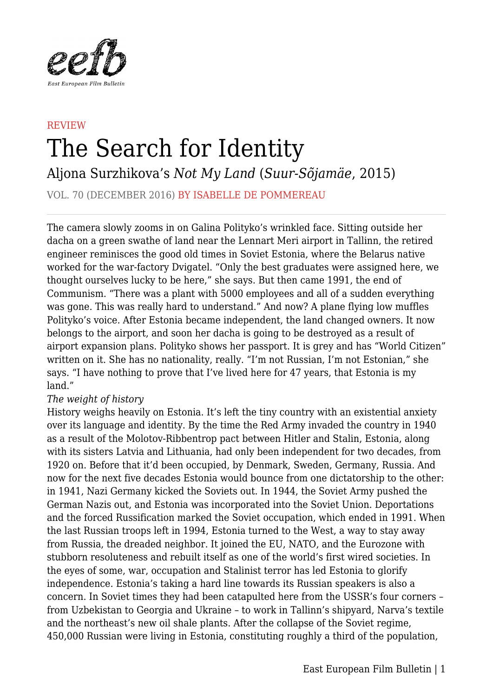

## **REVIEW** The Search for Identity

Aljona Surzhikova's *Not My Land* (*Suur-Sõjamäe*, 2015)

VOL. 70 (DECEMBER 2016) BY ISABELLE DE POMMEREAU

The camera slowly zooms in on Galina Polityko's wrinkled face. Sitting outside her dacha on a green swathe of land near the Lennart Meri airport in Tallinn, the retired engineer reminisces the good old times in Soviet Estonia, where the Belarus native worked for the war-factory Dvigatel. "Only the best graduates were assigned here, we thought ourselves lucky to be here," she says. But then came 1991, the end of Communism. "There was a plant with 5000 employees and all of a sudden everything was gone. This was really hard to understand." And now? A plane flying low muffles Polityko's voice. After Estonia became independent, the land changed owners. It now belongs to the airport, and soon her dacha is going to be destroyed as a result of airport expansion plans. Polityko shows her passport. It is grey and has "World Citizen" written on it. She has no nationality, really. "I'm not Russian, I'm not Estonian," she says. "I have nothing to prove that I've lived here for 47 years, that Estonia is my land."

## *The weight of history*

History weighs heavily on Estonia. It's left the tiny country with an existential anxiety over its language and identity. By the time the Red Army invaded the country in 1940 as a result of the Molotov-Ribbentrop pact between Hitler and Stalin, Estonia, along with its sisters Latvia and Lithuania, had only been independent for two decades, from 1920 on. Before that it'd been occupied, by Denmark, Sweden, Germany, Russia. And now for the next five decades Estonia would bounce from one dictatorship to the other: in 1941, Nazi Germany kicked the Soviets out. In 1944, the Soviet Army pushed the German Nazis out, and Estonia was incorporated into the Soviet Union. Deportations and the forced Russification marked the Soviet occupation, which ended in 1991. When the last Russian troops left in 1994, Estonia turned to the West, a way to stay away from Russia, the dreaded neighbor. It joined the EU, NATO, and the Eurozone with stubborn resoluteness and rebuilt itself as one of the world's first wired societies. In the eyes of some, war, occupation and Stalinist terror has led Estonia to glorify independence. Estonia's taking a hard line towards its Russian speakers is also a concern. In Soviet times they had been catapulted here from the USSR's four corners – from Uzbekistan to Georgia and Ukraine – to work in Tallinn's shipyard, Narva's textile and the northeast's new oil shale plants. After the collapse of the Soviet regime, 450,000 Russian were living in Estonia, constituting roughly a third of the population,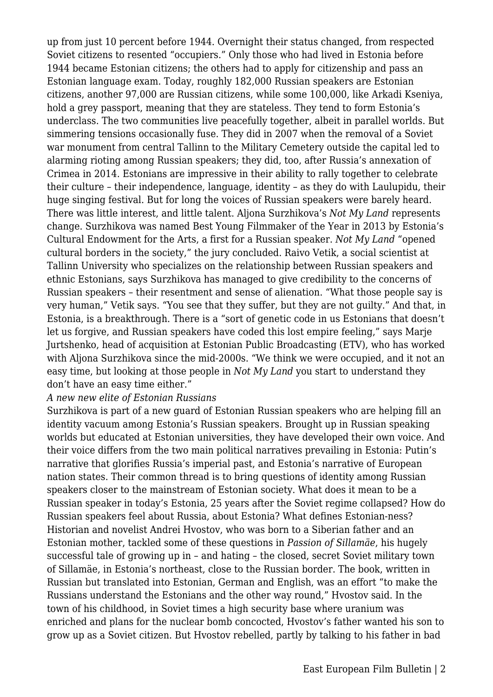up from just 10 percent before 1944. Overnight their status changed, from respected Soviet citizens to resented "occupiers." Only those who had lived in Estonia before 1944 became Estonian citizens; the others had to apply for citizenship and pass an Estonian language exam. Today, roughly 182,000 Russian speakers are Estonian citizens, another 97,000 are Russian citizens, while some 100,000, like Arkadi Kseniya, hold a grey passport, meaning that they are stateless. They tend to form Estonia's underclass. The two communities live peacefully together, albeit in parallel worlds. But simmering tensions occasionally fuse. They did in 2007 when the removal of a Soviet war monument from central Tallinn to the Military Cemetery outside the capital led to alarming rioting among Russian speakers; they did, too, after Russia's annexation of Crimea in 2014. Estonians are impressive in their ability to rally together to celebrate their culture – their independence, language, identity – as they do with Laulupidu, their huge singing festival. But for long the voices of Russian speakers were barely heard. There was little interest, and little talent. Aljona Surzhikova's *Not My Land* represents change. Surzhikova was named Best Young Filmmaker of the Year in 2013 by Estonia's Cultural Endowment for the Arts, a first for a Russian speaker. *Not My Land* "opened cultural borders in the society," the jury concluded. Raivo Vetik, a social scientist at Tallinn University who specializes on the relationship between Russian speakers and ethnic Estonians, says Surzhikova has managed to give credibility to the concerns of Russian speakers – their resentment and sense of alienation. "What those people say is very human," Vetik says. "You see that they suffer, but they are not guilty." And that, in Estonia, is a breakthrough. There is a "sort of genetic code in us Estonians that doesn't let us forgive, and Russian speakers have coded this lost empire feeling," says Marje Jurtshenko, head of acquisition at Estonian Public Broadcasting (ETV), who has worked with Aljona Surzhikova since the mid-2000s. "We think we were occupied, and it not an easy time, but looking at those people in *Not My Land* you start to understand they don't have an easy time either."

## *A new new elite of Estonian Russians*

Surzhikova is part of a new guard of Estonian Russian speakers who are helping fill an identity vacuum among Estonia's Russian speakers. Brought up in Russian speaking worlds but educated at Estonian universities, they have developed their own voice. And their voice differs from the two main political narratives prevailing in Estonia: Putin's narrative that glorifies Russia's imperial past, and Estonia's narrative of European nation states. Their common thread is to bring questions of identity among Russian speakers closer to the mainstream of Estonian society. What does it mean to be a Russian speaker in today's Estonia, 25 years after the Soviet regime collapsed? How do Russian speakers feel about Russia, about Estonia? What defines Estonian-ness? Historian and novelist Andrei Hvostov, who was born to a Siberian father and an Estonian mother, tackled some of these questions in *Passion of Sillamäe*, his hugely successful tale of growing up in – and hating – the closed, secret Soviet military town of Sillamäe, in Estonia's northeast, close to the Russian border. The book, written in Russian but translated into Estonian, German and English, was an effort "to make the Russians understand the Estonians and the other way round," Hvostov said. In the town of his childhood, in Soviet times a high security base where uranium was enriched and plans for the nuclear bomb concocted, Hvostov's father wanted his son to grow up as a Soviet citizen. But Hvostov rebelled, partly by talking to his father in bad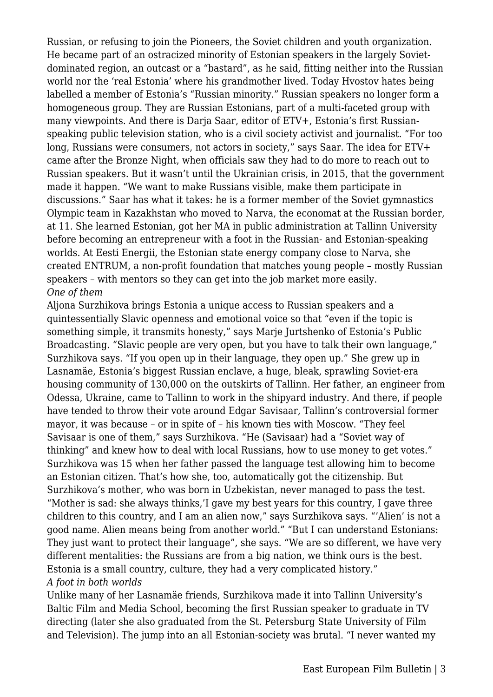Russian, or refusing to join the Pioneers, the Soviet children and youth organization. He became part of an ostracized minority of Estonian speakers in the largely Sovietdominated region, an outcast or a "bastard", as he said, fitting neither into the Russian world nor the 'real Estonia' where his grandmother lived. Today Hvostov hates being labelled a member of Estonia's "Russian minority." Russian speakers no longer form a homogeneous group. They are Russian Estonians, part of a multi-faceted group with many viewpoints. And there is Darja Saar, editor of ETV+, Estonia's first Russianspeaking public television station, who is a civil society activist and journalist. "For too long, Russians were consumers, not actors in society," says Saar. The idea for ETV+ came after the Bronze Night, when officials saw they had to do more to reach out to Russian speakers. But it wasn't until the Ukrainian crisis, in 2015, that the government made it happen. "We want to make Russians visible, make them participate in discussions." Saar has what it takes: he is a former member of the Soviet gymnastics Olympic team in Kazakhstan who moved to Narva, the economat at the Russian border, at 11. She learned Estonian, got her MA in public administration at Tallinn University before becoming an entrepreneur with a foot in the Russian- and Estonian-speaking worlds. At Eesti Energii, the Estonian state energy company close to Narva, she created ENTRUM, a non-profit foundation that matches young people – mostly Russian speakers – with mentors so they can get into the job market more easily. *One of them*

Aljona Surzhikova brings Estonia a unique access to Russian speakers and a quintessentially Slavic openness and emotional voice so that "even if the topic is something simple, it transmits honesty," says Marje Jurtshenko of Estonia's Public Broadcasting. "Slavic people are very open, but you have to talk their own language," Surzhikova says. "If you open up in their language, they open up." She grew up in Lasnamäe, Estonia's biggest Russian enclave, a huge, bleak, sprawling Soviet-era housing community of 130,000 on the outskirts of Tallinn. Her father, an engineer from Odessa, Ukraine, came to Tallinn to work in the shipyard industry. And there, if people have tended to throw their vote around Edgar Savisaar, Tallinn's controversial former mayor, it was because – or in spite of – his known ties with Moscow. "They feel Savisaar is one of them," says Surzhikova. "He (Savisaar) had a "Soviet way of thinking" and knew how to deal with local Russians, how to use money to get votes." Surzhikova was 15 when her father passed the language test allowing him to become an Estonian citizen. That's how she, too, automatically got the citizenship. But Surzhikova's mother, who was born in Uzbekistan, never managed to pass the test. "Mother is sad: she always thinks,'I gave my best years for this country, I gave three children to this country, and I am an alien now," says Surzhikova says. "'Alien' is not a good name. Alien means being from another world." "But I can understand Estonians: They just want to protect their language", she says. "We are so different, we have very different mentalities: the Russians are from a big nation, we think ours is the best. Estonia is a small country, culture, they had a very complicated history."

## *A foot in both worlds*

Unlike many of her Lasnamäe friends, Surzhikova made it into Tallinn University's Baltic Film and Media School, becoming the first Russian speaker to graduate in TV directing (later she also graduated from the St. Petersburg State University of Film and Television). The jump into an all Estonian-society was brutal. "I never wanted my